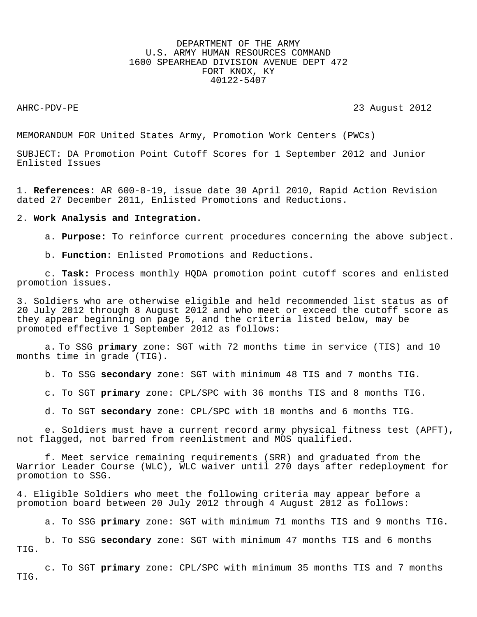# DEPARTMENT OF THE ARMY U.S. ARMY HUMAN RESOURCES COMMAND 1600 SPEARHEAD DIVISION AVENUE DEPT 472 FORT KNOX, KY 40122-5407

AHRC-PDV-PE 2012

MEMORANDUM FOR United States Army, Promotion Work Centers (PWCs)

SUBJECT: DA Promotion Point Cutoff Scores for 1 September 2012 and Junior Enlisted Issues

1. **References:** AR 600-8-19, issue date 30 April 2010, Rapid Action Revision dated 27 December 2011, Enlisted Promotions and Reductions.

### 2. **Work Analysis and Integration.**

a. **Purpose:** To reinforce current procedures concerning the above subject.

b. **Function:** Enlisted Promotions and Reductions.

c. **Task:** Process monthly HQDA promotion point cutoff scores and enlisted promotion issues.

3. Soldiers who are otherwise eligible and held recommended list status as of 20 July 2012 through 8 August 2012 and who meet or exceed the cutoff score as they appear beginning on page 5, and the criteria listed below, may be promoted effective 1 September 2012 as follows:

a. To SSG **primary** zone: SGT with 72 months time in service (TIS) and 10 months time in grade (TIG).

b. To SSG **secondary** zone: SGT with minimum 48 TIS and 7 months TIG.

c. To SGT **primary** zone: CPL/SPC with 36 months TIS and 8 months TIG.

d. To SGT **secondary** zone: CPL/SPC with 18 months and 6 months TIG.

e. Soldiers must have a current record army physical fitness test (APFT), not flagged, not barred from reenlistment and MOS qualified.

f. Meet service remaining requirements (SRR) and graduated from the Warrior Leader Course (WLC), WLC waiver until 270 days after redeployment for promotion to SSG.

4. Eligible Soldiers who meet the following criteria may appear before a promotion board between 20 July 2012 through 4 August 2012 as follows:

a. To SSG **primary** zone: SGT with minimum 71 months TIS and 9 months TIG.

b. To SSG **secondary** zone: SGT with minimum 47 months TIS and 6 months TIG.

c. To SGT **primary** zone: CPL/SPC with minimum 35 months TIS and 7 months TIG.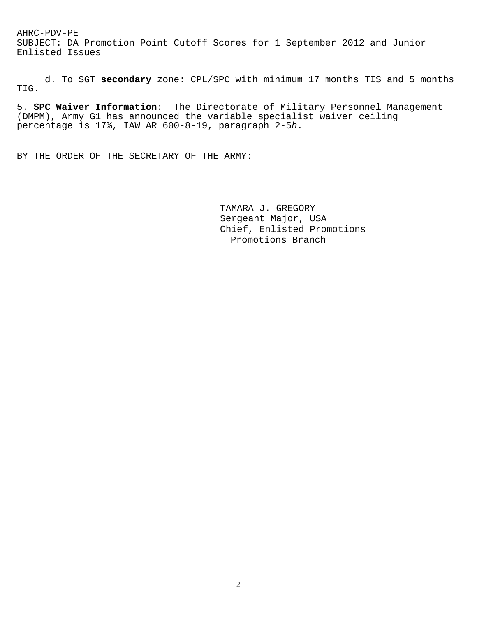SUBJECT: DA Promotion Point Cutoff Scores for 1 September 2012 and Junior Enlisted Issues

 d. To SGT **secondary** zone: CPL/SPC with minimum 17 months TIS and 5 months TIG.

5. **SPC Waiver Information**: The Directorate of Military Personnel Management (DMPM), Army G1 has announced the variable specialist waiver ceiling percentage is 17%, IAW AR 600-8-19, paragraph 2-5*h*.

BY THE ORDER OF THE SECRETARY OF THE ARMY:

 TAMARA J. GREGORY Sergeant Major, USA Chief, Enlisted Promotions Promotions Branch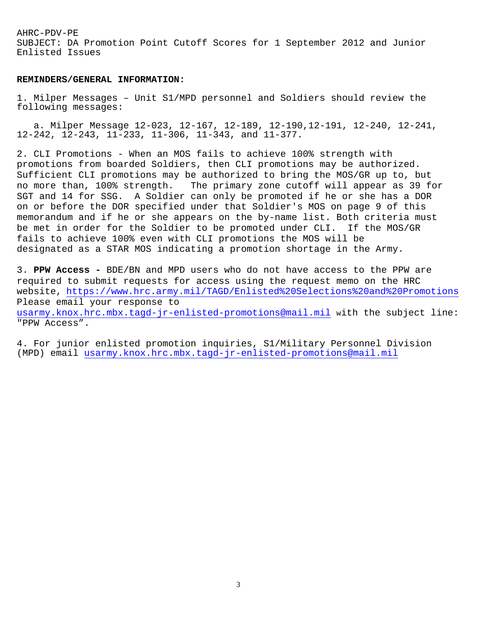SUBJECT: DA Promotion Point Cutoff Scores for 1 September 2012 and Junior Enlisted Issues

### **REMINDERS/GENERAL INFORMATION:**

1. Milper Messages – Unit S1/MPD personnel and Soldiers should review the following messages:

 a. Milper Message 12-023, 12-167, 12-189, 12-190,12-191, 12-240, 12-241, 12-242, 12-243, 11-233, 11-306, 11-343, and 11-377.

2. CLI Promotions - When an MOS fails to achieve 100% strength with promotions from boarded Soldiers, then CLI promotions may be authorized. Sufficient CLI promotions may be authorized to bring the MOS/GR up to, but no more than, 100% strength. The primary zone cutoff will appear as 39 for SGT and 14 for SSG. A Soldier can only be promoted if he or she has a DOR on or before the DOR specified under that Soldier's MOS on page 9 of this memorandum and if he or she appears on the by-name list. Both criteria must be met in order for the Soldier to be promoted under CLI. If the MOS/GR fails to achieve 100% even with CLI promotions the MOS will be designated as a STAR MOS indicating a promotion shortage in the Army.

3. **PPW Access -** BDE/BN and MPD users who do not have access to the PPW are required to submit requests for access using the request memo on the HRC website, <https://www.hrc.army.mil/TAGD/Enlisted%20Selections%20and%20Promotions> Please email your response to [usarmy.knox.hrc.mbx.tagd-jr-enlisted-promotions@mail.mil](mailto:usarmy.knox.hrc.mbx.tagd-jr-enlisted-promotions@mail.mil) with the subject line: "PPW Access".

4. For junior enlisted promotion inquiries, S1/Military Personnel Division (MPD) email [usarmy.knox.hrc.mbx.tagd-jr-enlisted-promotions@mail.mil](mailto:usarmy.knox.hrc.mbx.tagd-jr-enlisted-promotions@mail.mil)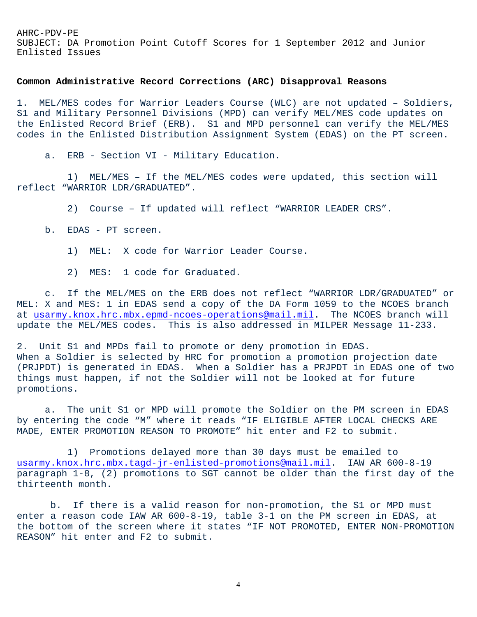SUBJECT: DA Promotion Point Cutoff Scores for 1 September 2012 and Junior Enlisted Issues

## **Common Administrative Record Corrections (ARC) Disapproval Reasons**

1. MEL/MES codes for Warrior Leaders Course (WLC) are not updated – Soldiers, S1 and Military Personnel Divisions (MPD) can verify MEL/MES code updates on the Enlisted Record Brief (ERB). S1 and MPD personnel can verify the MEL/MES codes in the Enlisted Distribution Assignment System (EDAS) on the PT screen.

a. ERB - Section VI - Military Education.

 1) MEL/MES – If the MEL/MES codes were updated, this section will reflect "WARRIOR LDR/GRADUATED".

2) Course – If updated will reflect "WARRIOR LEADER CRS".

- b. EDAS PT screen.
	- 1) MEL: X code for Warrior Leader Course.
	- 2) MES: 1 code for Graduated.

 c. If the MEL/MES on the ERB does not reflect "WARRIOR LDR/GRADUATED" or MEL: X and MES: 1 in EDAS send a copy of the DA Form 1059 to the NCOES branch at [usarmy.knox.hrc.mbx.epmd-ncoes-operations@mail.mil.](mailto:usarmy.knox.hrc.mbx.epmd-ncoes-operations@mail.mil) The NCOES branch will update the MEL/MES codes. This is also addressed in MILPER Message 11-233.

2. Unit S1 and MPDs fail to promote or deny promotion in EDAS. When a Soldier is selected by HRC for promotion a promotion projection date (PRJPDT) is generated in EDAS. When a Soldier has a PRJPDT in EDAS one of two things must happen, if not the Soldier will not be looked at for future promotions.

 a. The unit S1 or MPD will promote the Soldier on the PM screen in EDAS by entering the code "M" where it reads "IF ELIGIBLE AFTER LOCAL CHECKS ARE MADE, ENTER PROMOTION REASON TO PROMOTE" hit enter and F2 to submit.

 1) Promotions delayed more than 30 days must be emailed to [usarmy.knox.hrc.mbx.tagd-jr-enlisted-promotions@mail.mil.](mailto:usarmy.knox.hrc.mbx.tagd-jr-enlisted-promotions@mail.mil) IAW AR 600-8-19 paragraph 1-8, (2) promotions to SGT cannot be older than the first day of the thirteenth month.

 b. If there is a valid reason for non-promotion, the S1 or MPD must enter a reason code IAW AR 600-8-19, table 3-1 on the PM screen in EDAS, at the bottom of the screen where it states "IF NOT PROMOTED, ENTER NON-PROMOTION REASON" hit enter and F2 to submit.

4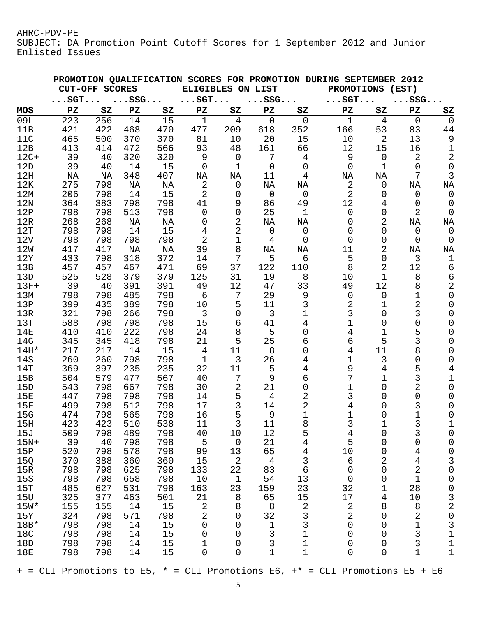SUBJECT: DA Promotion Point Cutoff Scores for 1 September 2012 and Junior Enlisted Issues

|                                                                                   | <b>CUT-OFF SCORES</b> |                        |              |            |                | PROMOTION QUALIFICATION SCORES FOR PROMOTION DURING SEPTEMBER 2012<br>ELIGIBLES ON LIST |                       |                |  | <b>PROMOTIONS</b><br>(EST) |                |                           |                          |
|-----------------------------------------------------------------------------------|-----------------------|------------------------|--------------|------------|----------------|-----------------------------------------------------------------------------------------|-----------------------|----------------|--|----------------------------|----------------|---------------------------|--------------------------|
|                                                                                   | $\ldots$ SGT          |                        | $\ldots$ SSG |            | $\ldots$ SGT   |                                                                                         | $\ldots$ SSG $\ldots$ |                |  | $\ldots$ SGT               |                | $\ldots$ SSG $\ldots$     |                          |
| MOS                                                                               | PZ                    | $\mathbf{S}\mathbf{Z}$ | PZ           | SZ         | PZ             | SZ                                                                                      | PZ                    | SZ             |  | ${\bf P}{\bf Z}$           | SZ             | ${\bf P}{\bf Z}$          | SZ                       |
| 09L                                                                               | 223                   | 256                    | 14           | 15         | $\mathbf 1$    | $\overline{4}$                                                                          | $\mathbf 0$           | $\mathbf 0$    |  | $\mathbf 1$                | $\overline{4}$ | $\mathbf 0$               | $\mathbf 0$              |
| 11B                                                                               | 421                   | 422                    | 468          | 470        | 477            | 209                                                                                     | 618                   | 352            |  | 166                        | 53             | 83                        | 44                       |
| 11C                                                                               | 465                   | 500                    | 370          | 370        | 81             | 10                                                                                      | 20                    | 15             |  | 10                         | $\overline{2}$ | 13                        | $\mathsf 9$              |
| 12B                                                                               | 413                   | 414                    | 472          | 566        | 93             | 48                                                                                      | 161                   | 66             |  | 12                         | 15             | 16                        | 1                        |
| $12C+$                                                                            | 39                    | 40                     | 320          | 320        | 9              | $\overline{0}$                                                                          | 7                     | 4              |  | 9                          | 0              | $\overline{2}$            | $\mathbf 2$              |
| 12D                                                                               | 39                    | 40                     | 14           | 15         | $\overline{0}$ | $\mathbf 1$                                                                             | $\mathsf{O}$          | 0              |  | $\overline{0}$             | 1              | 0                         | $\mathsf 0$              |
| 12H                                                                               | NA                    | ΝA                     | 348          | 407        | NA             | ΝA                                                                                      | 11                    | 4              |  | ΝA                         | NA             | 7                         | 3                        |
| 12K                                                                               | 275                   | 798                    | ΝA           | NA         | 2              | $\mathsf 0$                                                                             | NA                    | ΝA             |  | $\overline{2}$             | 0              | NA                        | NA                       |
| 12M                                                                               | 206                   | 798                    | 14           | 15         | 2              | 0                                                                                       | $\overline{0}$        | $\overline{0}$ |  | 2                          | 0              | $\mathsf 0$               | $\mathbf 0$              |
| 12N                                                                               | 364                   | 383                    | 798          | 798        | 41             | 9                                                                                       | 86                    | 49             |  | 12                         | 4              | 0                         | $\overline{0}$           |
| 12P                                                                               | 798                   | 798                    | 513          | 798        | $\mathbf 0$    | 0                                                                                       | 25                    | $\mathbf 1$    |  | 0                          | 0              | 2                         | $\mathbf 0$              |
| 12R                                                                               | 268                   | 268                    | NA           | ΝA         | 0              | 2                                                                                       | ΝA                    | ΝA             |  | 0                          | 2              | NA                        | ΝA                       |
| 12T                                                                               | 798                   | 798                    | 14           | 15         | 4              | 2                                                                                       | 0                     | $\overline{0}$ |  | 0                          | 0              | $\overline{0}$            | $\overline{0}$           |
| 12V                                                                               | 798                   | 798<br>417             | 798          | 798        | 2<br>39        | $\mathbf{1}$<br>8                                                                       | 4                     | $\overline{0}$ |  | 0<br>11                    | 0<br>2         | 0                         | $\overline{0}$           |
| 12W<br>12Y                                                                        | 417<br>433            | 798                    | ΝA<br>318    | ΝA<br>372  | 14             | 7                                                                                       | ΝA<br>5               | ΝA<br>6        |  | 5                          | 0              | ΝA<br>3                   | NA<br>$\mathbf 1$        |
| 13B                                                                               | 457                   | 457                    | 467          | 471        | 69             | 37                                                                                      | 122                   | 110            |  | 8                          | 2              | 12                        | 6                        |
| 13D                                                                               | 525                   | 528                    | 379          | 379        | 125            | 31                                                                                      | 19                    | 8              |  | 10                         | 1              | 8                         | 6                        |
| $13F+$                                                                            | 39                    | 40                     | 391          | 391        | 49             | 12                                                                                      | 47                    | 33             |  | 49                         | 12             | 8                         | $\mathbf 2$              |
| 13M                                                                               | 798                   | 798                    | 485          | 798        | 6              | 7                                                                                       | 29                    | 9              |  | 0                          | 0              | 1                         | $\mathbf 0$              |
| 13P                                                                               | 399                   | 435                    | 389          | 798        | 10             | 5                                                                                       | 11                    | 3              |  | 2                          | 1              | 2                         | 0                        |
| 13R                                                                               | 321                   | 798                    | 266          | 798        | $\overline{3}$ | 0                                                                                       | 3                     | 1              |  | 3                          | 0              | 3                         | 0                        |
| 13T                                                                               | 588                   | 798                    | 798          | 798        | 15             | 6                                                                                       | 41                    | 4              |  | 1                          | 0              | 0                         | $\Omega$                 |
| 14E                                                                               | 410                   | 410                    | 222          | 798        | 24             | 8                                                                                       | 5                     | 0              |  | 4                          | 1              | 5                         | $\Omega$                 |
| 14G                                                                               | 345                   | 345                    | 418          | 798        | 21             | 5                                                                                       | 25                    | 6              |  | 6                          | 5              | 3                         | 0                        |
| $14H*$                                                                            | 217                   | 217                    | 14           | 15         | 4              | 11                                                                                      | 8                     | 0              |  | 4                          | 11             | 8                         | 0                        |
| 14S                                                                               | 260                   | 260                    | 798          | 798        | $\mathbf 1$    | 3                                                                                       | 26                    | 4              |  | 1                          | 3              | $\Omega$                  | 0                        |
| 14T                                                                               | 369                   | 397                    | 235          | 235        | 32             | 11                                                                                      | 5                     | 4              |  | 9                          | 4              | 5                         | 4                        |
| 15B                                                                               | 504                   | 579                    | 477          | 567        | 40             | 7                                                                                       | 9                     | 6              |  | 7                          | 1              | 3                         | $\mathbf 1$              |
| 15D                                                                               | 543                   | 798                    | 667          | 798        | 30             | $\overline{2}$                                                                          | 21                    | 0              |  | 1                          | 0              | 2                         | 0                        |
| 15E                                                                               | 447                   | 798                    | 798          | 798        | 14             | 5                                                                                       | $\overline{4}$        | 2              |  | 3                          | 0              | 0                         | 0                        |
| 15F                                                                               | 499                   | 798                    | 512          | 798        | 17             | 3                                                                                       | 14                    | 2              |  | 4                          | 0              | 3                         | 0                        |
| 15G                                                                               | 474                   | 798                    | 565          | 798        | 16             | 5                                                                                       | 9                     | $\mathbf 1$    |  | 1                          | 0              | 1                         | 0                        |
| 15H                                                                               | 423                   | 423                    | 510          | 538        | 11             | $\mathfrak{Z}$                                                                          | 11                    | $\, 8$         |  | 3                          |                | 3                         | 1                        |
| 15J                                                                               | 509                   | 798                    | 489          | 798        | 40             | 10                                                                                      | 12                    | 5              |  | 4                          | 0              | 3                         | $\mathbf 0$              |
| $15N+$                                                                            | 39                    | 40                     | 798          | 798        | 5              | $\mathsf{O}$                                                                            | 21                    | 4              |  | 5                          | 0              | 0                         | 0                        |
| 15P                                                                               | 520                   | 798                    | 578          | 798        | 99             | 13                                                                                      | 65                    | $\overline{4}$ |  | 10                         | 0              | $\overline{4}$            | $\mathsf 0$              |
| 15Q                                                                               | 370                   | 388                    | 360          | 360        | 15             | $\mathbf{2}$                                                                            | $\overline{4}$        | 3              |  | 6                          | 2              | 4                         | 3                        |
| 15R                                                                               | 798                   | 798                    | 625          | 798        | 133            | 22                                                                                      | 83                    | 6<br>13        |  | $\mathsf 0$                | 0              | $\sqrt{2}$<br>$\mathbf 1$ | $\mathsf{O}\xspace$      |
| 15S<br>15T                                                                        | 798<br>485            | 798<br>627             | 658<br>531   | 798<br>798 | 10<br>163      | $\mathbf 1$<br>23                                                                       | 54<br>159             | 23             |  | 0<br>32                    | 0              | 28                        | 0<br>$\mathsf{O}\xspace$ |
| 15U                                                                               | 325                   | 377                    | 463          | 501        | 21             | $\,8\,$                                                                                 | 65                    | 15             |  | 17                         | 1<br>4         | 10                        | 3                        |
| $15W*$                                                                            | 155                   | 155                    | 14           | 15         | $\mathbf{2}$   | 8                                                                                       | $\,8\,$               | 2              |  | 2                          | 8              | 8                         | $\overline{a}$           |
| 15Y                                                                               | 324                   | 798                    | 571          | 798        | $\overline{c}$ | 0                                                                                       | 32                    | 3              |  | 2                          | 0              | $\mathbf{2}$              | $\mathsf{O}$             |
| $18B*$                                                                            | 798                   | 798                    | 14           | 15         | 0              | 0                                                                                       | 1                     | 3              |  | 0                          | 0              | 1                         | 3                        |
| 18C                                                                               | 798                   | 798                    | 14           | 15         | 0              | 0                                                                                       | 3                     | 1              |  | 0                          | 0              | 3                         | $\mathbf 1$              |
| 18D                                                                               | 798                   | 798                    | 14           | 15         | 1              | 0                                                                                       | 3                     | 1              |  | 0                          | 0              | 3                         | $1\,$                    |
| 18E                                                                               | 798                   | 798                    | 14           | 15         | 0              | 0                                                                                       | 1                     | $1\,$          |  | 0                          | 0              | $\mathbf 1$               | $\mathbf 1$              |
| $+$ = CLI Promotions to E5, $*$ = CLI Promotions E6, $+$ = CLI Promotions E5 + E6 |                       |                        |              |            |                |                                                                                         |                       |                |  |                            |                |                           |                          |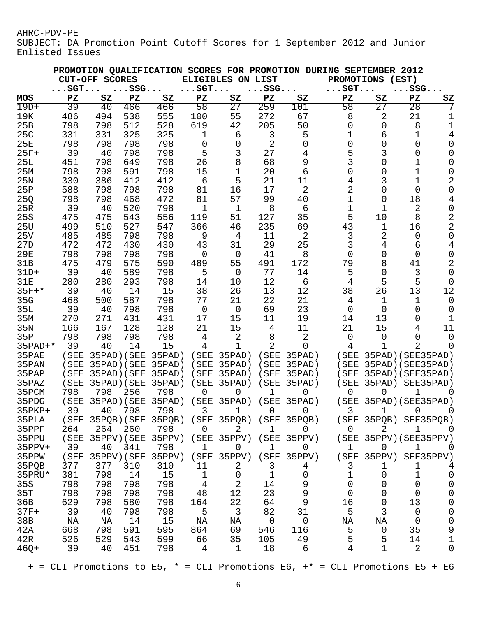SUBJECT: DA Promotion Point Cutoff Scores for 1 September 2012 and Junior Enlisted Issues

|                 |                        |                       |              |              |                |                                                |                        | PROMOTION QUALIFICATION SCORES FOR PROMOTION DURING SEPTEMBER |                   |                | 2012                   |                         |
|-----------------|------------------------|-----------------------|--------------|--------------|----------------|------------------------------------------------|------------------------|---------------------------------------------------------------|-------------------|----------------|------------------------|-------------------------|
|                 |                        | <b>CUT-OFF SCORES</b> |              |              |                | ELIGIBLES ON                                   | LIST                   |                                                               | <b>PROMOTIONS</b> |                | (EST)                  |                         |
|                 | $\ldots$ SGT. $\ldots$ |                       | $\ldots$ SSG |              | $\ldots$ SGT   |                                                | $\ldots$ SSG $\ldots$  |                                                               | $\ldots$ SGT      |                | $\ldots$ SSG $\ldots$  |                         |
| <b>MOS</b>      | PZ                     | SZ                    | PZ           | SZ           | PZ             | SZ                                             | $\mathbf{P}\mathbf{Z}$ | SZ                                                            | PZ                | SZ             | ${\bf P}{\bf Z}$       | SZ                      |
| $19D+$          | 39                     | 40                    | 466          | 466          | 58             | 27                                             | 259                    | 101                                                           | 58                | 27             | 28                     | 7                       |
| 19K             | 486                    | 494                   | 538          | 555          | 100            | 55                                             | 272                    | 67                                                            | 8                 | 2              | 21                     | 1                       |
| 25B             | 798                    | 798                   | 512          | 528          | 619            | 42                                             | 205                    | 50                                                            | 0                 | 0              | 8                      | 1                       |
| 25C             | 331                    | 331                   | 325          | 325          | 1              | 6                                              | 3                      | 5                                                             | 1                 | 6              | 1                      | 4                       |
| 25E             | 798                    | 798                   | 798          | 798          | 0              | 0                                              | 2                      | 0                                                             | 0                 | 0              | 0                      | 0                       |
| $25F+$          | 39                     | 40                    | 798          | 798          | 5              | 3                                              | 27                     | 4                                                             | 5                 | 3              | 0                      | 0                       |
| 25L<br>25M      | 451                    | 798                   | 649<br>591   | 798<br>798   | 26<br>15       | 8<br>$\mathbf 1$                               | 68                     | 9<br>6                                                        | 3<br>0            | 0<br>0         | 1<br>1                 | 0<br>0                  |
| 25N             | 798<br>330             | 798<br>386            | 412          | 412          | 6              | 5                                              | 20<br>21               | 11                                                            |                   | 3              | 1                      | $\mathbf 2$             |
| 25P             | 588                    | 798                   | 798          | 798          | 81             | 16                                             | 17                     | 2                                                             | 4<br>2            | 0              | 0                      | $\mathbf 0$             |
| 25Q             | 798                    | 798                   | 468          | 472          | 81             | 57                                             | 99                     | 40                                                            | 1                 | 0              | 18                     | 4                       |
| 25R             | 39                     | 40                    | 520          | 798          | 1              | 1                                              | 8                      | 6                                                             | 1                 | 1              | 2                      | 0                       |
| 25S             | 475                    | 475                   | 543          | 556          | 119            | 51                                             | 127                    | 35                                                            | 5                 | 10             | 8                      | $\overline{\mathbf{c}}$ |
| 25U             | 499                    | 510                   | 527          | 547          | 366            | 46                                             | 235                    | 69                                                            | 43                | 1              | 16                     | $\overline{2}$          |
| 25V             | 485                    | 485                   | 798          | 798          | 9              | 4                                              | 11                     | 2                                                             | 3                 | 2              | 0                      | $\mathbf 0$             |
| 27D             | 472                    | 472                   | 430          | 430          | 43             | 31                                             | 29                     | 25                                                            | 3                 | 4              | 6                      | 4                       |
| <b>29E</b>      | 798                    | 798                   | 798          | 798          | 0              | 0                                              | 41                     | 8                                                             | 0                 | 0              | 0                      | 0                       |
| 31B             | 475                    | 479                   | 575          | 590          | 489            | 55                                             | 491                    | 172                                                           | 79                | 8              | 41                     | 2                       |
| $31D+$          | 39                     | 40                    | 589          | 798          | 5              | 0                                              | 77                     | 14                                                            | 5                 | 0              | 3                      | 0                       |
| <b>31E</b>      | 280                    | 280                   | 293          | 798          | 14             | 10                                             | 12                     | 6                                                             | 4                 | 5              | 5                      | $\overline{0}$          |
| $35F+*$         | 39                     | 40                    | 14           | 15           | 38             | 26                                             | 13                     | 12                                                            | 38                | 26             | 13                     | 12                      |
| 35G             | 468                    | 500                   | 587          | 798          | 77             | 21                                             | 22                     | 21                                                            | 4                 | 1              | 1                      | 0                       |
| 35L             | 39                     | 40                    | 798          | 798          | $\overline{0}$ | $\mathbf 0$                                    | 69                     | 23                                                            | 0                 | 0              | 0                      | 0                       |
| 35M             | 270                    | 271                   | 431          | 431          | 17             | 15                                             | 11                     | 19                                                            | 14                | 13             | 0                      | 1                       |
| 35 <sub>N</sub> | 166                    | 167                   | 128          | 128          | 21             | 15                                             | 4                      | 11                                                            | 21                | 15             | 4                      | 11                      |
| 35P             | 798                    | 798                   | 798          | 798          | 4              | 2                                              | 8                      | 2                                                             | 0                 | 0              | 0                      | $\mathbf 0$             |
| $35$ PAD+ $*$   | 39                     | 40                    | 14           | 15           | 4              | $\overline{1}$                                 | 2                      | 0                                                             | 4                 | 1              | 2                      | $\Omega$                |
| 35PAE           | (SEE)                  | 35PAD) (SEE           |              | $35$ PAD $)$ | (SEE           | $35$ PAD $)$                                   | (SEE)                  | $35$ PAD $)$                                                  | (SEE              |                | 35PAD) (SEE35PAD)      |                         |
| 35PAN           | SEE                    | 35PAD) (SEE           |              | $35$ PAD $)$ | (SEE           | $35$ PAD $)$                                   | (SEE)                  | $35$ PAD $)$                                                  | SEE               |                | 35PAD) (SEE35PAD)      |                         |
| 35PAP           | SEE                    | 35PAD) (SEE           |              | $35$ PAD $)$ | SEE            | $35$ PAD $)$                                   | <b>SEE</b>             | $35$ PAD $)$                                                  | SEE               | $35$ PAD $)$ ( | SEE35PAD)              |                         |
| 35PAZ           | (SEE                   | $35$ PAD $)$          | SEE          | $35$ PAD $)$ | SEE            | $35$ PAD $)$                                   | SEE                    | $35$ PAD)                                                     | ( SEE             | 35PAD)         | SEE35PAD)              |                         |
| 35PCM           | 798                    | 798                   | 256          | 798          | 0              | 0                                              | 1                      | 0                                                             | 0                 | 0              | 1                      | 0                       |
| 35PDG           | (SEE)                  | 35PAD) (SEE           |              | 35PAD)       | (SEE           | $35$ PAD $)$                                   | (SEE)                  | $35$ PAD $)$                                                  | (SEE)             | 35PAD)(        | SEE35PAD)              |                         |
| $35$ PKP+       | 39                     | 40                    | 798          | 798          | 3              | 1                                              | 0                      | 0                                                             | 3                 | 1              | 0                      | 0                       |
| 35PLA           |                        |                       |              |              |                | (SEE 35PQB)(SEE 35PQB) (SEE 35PQB) (SEE 35PQB) |                        |                                                               |                   | (SEE 35PQB)    | SEE35PQB)              |                         |
| 35PPF           | 264                    | 264                   | 260          | 798          | $\Omega$       | 2                                              | $\mathbf 1$            | 0                                                             | 0                 | 2              | 1.                     | 0                       |
| 35PPU           | (SEE)                  | 35PPV) (SEE           |              | 35PPV)       |                | (SEE 35PPV)                                    |                        | (SEE 35PPV)                                                   |                   |                | (SEE 35PPV) (SEE35PPV) |                         |
| $35PPV+$        | 39                     | 40                    | 341          | 798          | $\mathbf{1}$   | 0                                              | 1                      | 0                                                             | $\mathbf 1$       | 0              | 1                      | 0                       |
| 35PPW           | (SEE)                  | 35PPV) (SEE           |              | 35PPV)       | (SEE)          | 35PPV)                                         | (SEE)                  | $35PPV$ )                                                     | (SEE)             | 35PPV)         | SEE35PPV)              |                         |
| 35PQB           | 377                    | 377                   | 310          | 310          | 11             | 2                                              | 3                      | 4                                                             | 3                 | 1              | 1                      | 4                       |
| 35PRU*          | 381                    | 798                   | 14           | 15           | $\mathbf 1$    | 0                                              | 1                      | 0                                                             | 1                 | 0              | 1                      | $\mathbf 0$             |
| 35S             | 798                    | 798                   | 798          | 798          | 4              | $\overline{2}$                                 | 14                     | 9                                                             | 0                 | 0              | 0                      | 0                       |
| 35T             | 798                    | 798                   | 798          | 798          | 48             | 12                                             | 23                     | 9                                                             | 0                 | 0              | 0                      | 0                       |
| 36B             | 629                    | 798                   | 580          | 798          | 164            | 22                                             | 64                     | 9                                                             | 16                | 0              | 13                     | $\mathsf 0$             |
| $37F+$          | 39                     | 40                    | 798          | 798          | 5              | 3                                              | 82                     | 31                                                            | 5                 | 3              | 0                      | $\mathbf 0$             |
| 38B             | ΝA                     | ΝA                    | 14           | 15           | NA             | ΝA                                             | 0                      | 0                                                             | ΝA                | ΝA             | $\overline{0}$         | 0                       |
| 42A             | 668                    | 798                   | 591          | 595          | 864            | 69                                             | 546                    | 116                                                           | 5                 | 0              | 35                     | 9                       |
| 42R             | 526                    | 529                   | 543          | 599          | 66             | 35                                             | 105                    | 49                                                            | 5                 | 5              | 14                     | $\mathbf 1$             |
| $46Q+$          | 39                     | 40                    | 451          | 798          | 4              | $\mathbf{1}$                                   | 18                     | 6                                                             | 4                 | $\mathbf 1$    | 2                      | $\mathbf 0$             |
|                 |                        |                       |              |              |                |                                                |                        |                                                               |                   |                |                        |                         |

 $+$  = CLI Promotions to E5,  $*$  = CLI Promotions E6,  $+$  = CLI Promotions E5 + E6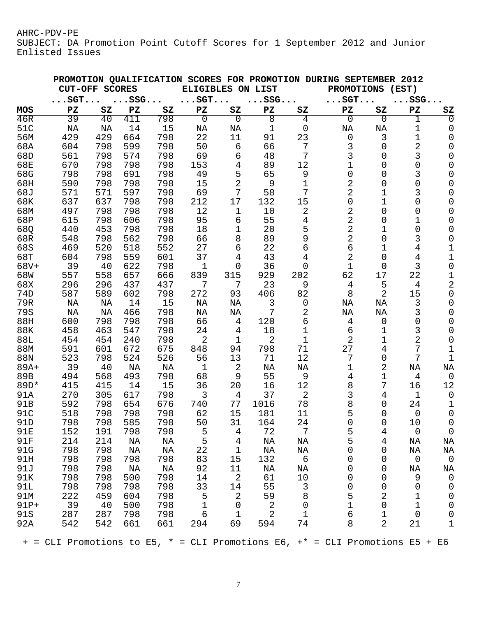SUBJECT: DA Promotion Point Cutoff Scores for 1 September 2012 and Junior Enlisted Issues

| PROMOTION QUALIFICATION SCORES FOR PROMOTION DURING SEPTEMBER 2012<br><b>CUT-OFF SCORES</b><br>ELIGIBLES ON LIST<br><b>PROMOTIONS</b><br>(EST) |              |                        |              |                        |                        |                        |                        |                |                                                                                   |                        |                        |                        |
|------------------------------------------------------------------------------------------------------------------------------------------------|--------------|------------------------|--------------|------------------------|------------------------|------------------------|------------------------|----------------|-----------------------------------------------------------------------------------|------------------------|------------------------|------------------------|
|                                                                                                                                                | $\ldots$ SGT |                        | $\ldots$ SSG |                        | $\ldots$ SGT           |                        | $\ldots$ SSG           |                | $\ldots$ SGT                                                                      |                        | $\ldots$ SSG $\ldots$  |                        |
| MOS                                                                                                                                            | PZ           | $\mathbf{S}\mathbf{Z}$ | PZ           | $\mathbf{S}\mathbf{Z}$ | $\mathbf{P}\mathbf{Z}$ | $\mathbf{S}\mathbf{Z}$ | $\mathbf{P}\mathbf{Z}$ | $S_{Z}$        | $\mathbf{P}\mathbf{Z}$                                                            | $\mathbf{S}\mathbf{Z}$ | $\mathbf{P}\mathbf{Z}$ | $\mathbf{S}\mathbf{Z}$ |
| 46R                                                                                                                                            | 39           | 40                     | 411          | 798                    | 0                      | $\overline{0}$         | 8                      | 4              | 0                                                                                 | $\overline{0}$         | 1                      | $\Omega$               |
| 51C                                                                                                                                            | NA           | ΝA                     | 14           | 15                     | ΝA                     | NA                     | $\mathbf 1$            | $\overline{0}$ | ΝA                                                                                | NA                     | 1                      | 0                      |
| 56M                                                                                                                                            | 429          | 429                    | 664          | 798                    | 22                     | 11                     | 91                     | 23             | $\mathbf 0$                                                                       | 3                      | 1                      | 0                      |
| 68A                                                                                                                                            | 604          | 798                    | 599          | 798                    | 50                     | 6                      | 66                     | 7              | 3                                                                                 | 0                      | 2                      | 0                      |
| 68D                                                                                                                                            | 561          | 798                    | 574          | 798                    | 69                     | 6                      | 48                     | 7              | 3                                                                                 | 0                      | 3                      | 0                      |
| 68E                                                                                                                                            | 670          | 798                    | 798          | 798                    | 153                    | 4                      | 89                     | 12             |                                                                                   | 0                      | 0                      | 0                      |
| 68G                                                                                                                                            | 798          | 798                    | 691          | 798                    | 49                     | 5                      | 65                     | 9              | 0                                                                                 | 0                      | 3                      | 0                      |
| 68H                                                                                                                                            | 590          | 798                    | 798          | 798                    | 15                     | $\overline{2}$         | 9                      | 1              | 2                                                                                 | 0                      | 0                      | 0                      |
| 68J                                                                                                                                            | 571          | 571                    | 597          | 798                    | 69                     | 7                      | 58                     | 7              | 2                                                                                 | 1                      | 3                      | 0                      |
| 68K                                                                                                                                            | 637          | 637                    | 798          | 798                    | 212                    | 17                     | 132                    | 15             | 0                                                                                 | 1                      | 0                      | 0                      |
| 68M                                                                                                                                            | 497          | 798                    | 798          | 798                    | 12                     | 1                      | 10                     | 2              | 2                                                                                 | 0                      | 0                      | 0                      |
| 68P                                                                                                                                            | 615          | 798                    | 606          | 798                    | 95                     | 6                      | 55                     | 4              | 2                                                                                 | 0                      | 1                      | 0                      |
| 68Q                                                                                                                                            | 440          | 453                    | 798          | 798                    | 18                     | 1                      | 20                     | 5              | 2                                                                                 | 1                      | 0                      | 0                      |
| 68R                                                                                                                                            | 548          | 798                    | 562          | 798                    | 66                     | 8                      | 89                     | 9              | 2                                                                                 | 0                      | 3                      | 0                      |
| 68S                                                                                                                                            | 469          | 520                    | 518          | 552                    | 27                     | 6                      | 22                     | 6              | 6                                                                                 | 1                      | 4                      | 1                      |
| 68T                                                                                                                                            | 604          | 798                    | 559          | 601                    | 37                     | 4                      | 43                     | 4              | 2                                                                                 | 0                      | 4                      | 1                      |
| $68V +$                                                                                                                                        | 39           | 40                     | 622          | 798                    | 1                      | 0                      | 36                     | 0              | 1                                                                                 | 0                      | 3                      | $\mathbf 0$            |
| 68W                                                                                                                                            | 557          | 558                    | 657          | 666                    | 839                    | 315                    | 929                    | 202            | 62                                                                                | 17                     | 22                     | 1                      |
| 68X                                                                                                                                            | 296          | 296                    | 437          | 437                    | 7                      | 7                      | 23                     | 9              | 4                                                                                 | 5                      | 4                      | $\mathbf 2$            |
| 74D                                                                                                                                            | 587          | 589                    | 602          | 798                    | 272                    | 93                     | 406                    | 82             | 8                                                                                 | 2                      | 15                     | $\mathsf 0$            |
| 79R                                                                                                                                            | NA           | NA                     | 14           | 15                     | NA                     | NA                     | 3                      | 0              | ΝA                                                                                | ΝA                     | 3                      | 0                      |
| 79S                                                                                                                                            | NA           | NA                     | 466          | 798                    | NA                     |                        | 7                      |                |                                                                                   | NA                     | 3                      |                        |
| 88H                                                                                                                                            |              | 798                    | 798          | 798                    | 66                     | NA<br>$\overline{4}$   | 120                    | 2<br>6         | NA                                                                                |                        | 0                      | 0                      |
|                                                                                                                                                | 600          |                        |              |                        |                        |                        |                        |                | 4                                                                                 | 0                      |                        | 0                      |
| <b>88K</b>                                                                                                                                     | 458          | 463                    | 547          | 798                    | 24                     | 4                      | 18                     | 1              | 6                                                                                 | 1                      | 3                      | 0                      |
| 88L                                                                                                                                            | 454          | 454                    | 240          | 798                    | 2                      | 1                      | 2                      | 1              | 2                                                                                 | 1                      | 2                      | $\mathbf 0$            |
| 88M                                                                                                                                            | 591          | 601                    | 672          | 675                    | 848                    | 94                     | 798                    | 71             | 27                                                                                | 4                      | 7                      | 1                      |
| 88N                                                                                                                                            | 523          | 798                    | 524          | 526                    | 56                     | 13                     | 71                     | 12             | 7                                                                                 | 0                      | 7                      | 1                      |
| $89A+$                                                                                                                                         | 39           | 40                     | ΝA           | NA                     | $\mathbf 1$            | 2                      | NA                     | NA             | 1                                                                                 | 2                      | NA                     | NA                     |
| 89B                                                                                                                                            | 494          | 568                    | 493          | 798                    | 68                     | 9                      | 55                     | 9              | 4                                                                                 | 1                      | $\overline{4}$         | $\overline{0}$         |
| 89D*                                                                                                                                           | 415          | 415                    | 14           | 15                     | 36                     | 20                     | 16                     | 12             | 8                                                                                 | 7                      | 16                     | 12                     |
| 91A                                                                                                                                            | 270          | 305                    | 617          | 798                    | 3                      | 4                      | 37                     | 2              | 3                                                                                 | 4                      | $\mathbf{1}$           | $\mathbf 0$            |
| 91B                                                                                                                                            | 592          | 798                    | 654          | 676                    | 740                    | 77                     | 1016                   | 78             | 8                                                                                 | 0                      | 24                     | 1                      |
| 91C                                                                                                                                            | 518          | 798                    | 798          | 798                    | 62                     | 15                     | 181                    | 11             | 5                                                                                 | 0                      | $\overline{0}$         | 0                      |
| 91D                                                                                                                                            | 798          | 798                    | 585          | 798                    | 50                     | 31                     | 164                    | 24             | 0                                                                                 | 0                      | 10                     | $\mathsf 0$            |
| 91E                                                                                                                                            | 152          | 191                    | 798          | 798                    | 5                      | 4                      | 72                     | 7              | 5                                                                                 | 4                      | $\overline{0}$         | 0                      |
| 91F                                                                                                                                            | 214          | 214                    | ΝA           | ΝA                     | 5                      | 4                      | ΝA                     | ΝA             | 5                                                                                 | 4                      | ΝA                     | ΝA                     |
| 91G                                                                                                                                            | 798          | 798                    | ΝA           | ΝA                     | 22                     | $\mathbf{1}$           | ΝA                     | ΝA             | 0                                                                                 | 0                      | ΝA                     | ΝA                     |
| 91H                                                                                                                                            | 798          | 798                    | 798          | 798                    | 83                     | 15                     | 132                    | 6              | 0                                                                                 | 0                      | $\overline{0}$         | $\overline{0}$         |
| 91J                                                                                                                                            | 798          | 798                    | ΝA           | ΝA                     | 92                     | 11                     | ΝA                     | ΝA             | 0                                                                                 | 0                      | ΝA                     | ΝA                     |
| 91K                                                                                                                                            | 798          | 798                    | 500          | 798                    | 14                     | $\overline{2}$         | 61                     | 10             | 0                                                                                 | 0                      | 9                      | $\mathbf 0$            |
| 91L                                                                                                                                            | 798          | 798                    | 798          | 798                    | 33                     | 14                     | 55                     | 3              | 0                                                                                 | 0                      | 0                      | 0                      |
| 91M                                                                                                                                            | 222          | 459                    | 604          | 798                    | 5                      | 2                      | 59                     | 8              | 5                                                                                 | 2                      | 1                      | $\overline{0}$         |
| $91P+$                                                                                                                                         | 39           | 40                     | 500          | 798                    | $1\,$                  | $\overline{0}$         | 2                      | $\overline{0}$ | 1                                                                                 | 0                      | 1                      | $\overline{0}$         |
| 91S                                                                                                                                            | 287          | 287                    | 798          | 798                    | $\epsilon$             | $\mathbf{1}$           | 2                      | $\mathbf 1$    | 6                                                                                 | 1                      | 0                      | $\overline{0}$         |
| 92A                                                                                                                                            | 542          | 542                    | 661          | 661                    | 294                    | 69                     | 594                    | 74             | 8                                                                                 | 2                      | 21                     | 1                      |
|                                                                                                                                                |              |                        |              |                        |                        |                        |                        |                | $+$ = CLI Promotions to E5, $*$ = CLI Promotions E6, $+$ = CLI Promotions E5 + E6 |                        |                        |                        |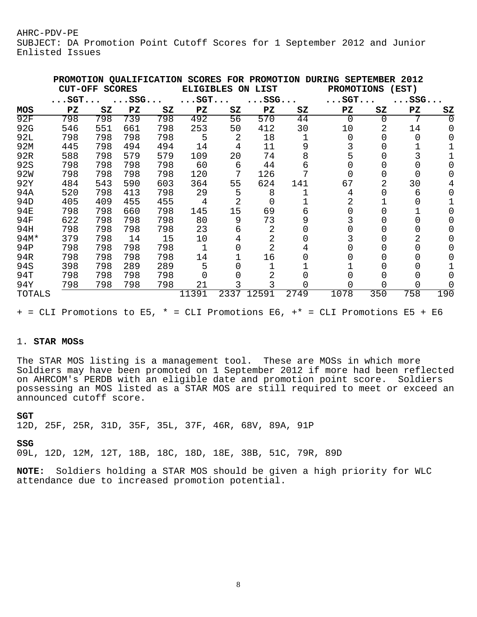SUBJECT: DA Promotion Point Cutoff Scores for 1 September 2012 and Junior Enlisted Issues

|                 | <b>PROMOTION</b><br><b>CUT-OFF</b> |     | <b>SCORES</b> | <b>QUALIFICATION</b> | <b>SCORES</b><br><b>ELIGIBLES</b> |      | FOR PROMOTION<br>LIST<br>ON |      | <b>DURING</b><br><b>PROMOTIONS</b> | <b>SEPTEMBER</b> | 2012<br>(EST)           |     |
|-----------------|------------------------------------|-----|---------------|----------------------|-----------------------------------|------|-----------------------------|------|------------------------------------|------------------|-------------------------|-----|
|                 | $\ldots$ SGT $\ldots$              |     | $\ldots$ SSG  |                      | $\ldots$ SGT $\ldots$             |      | $\ldots$ SSG $\ldots$       |      | $\ldots$ SGT $\ldots$              |                  | $.SSG.$                 |     |
| MOS             | PZ                                 | SZ  | PZ            | SZ                   | PZ                                | SZ   | PZ                          | SZ   | PZ                                 | SZ               | $\mathbf{P} \mathbf{Z}$ | SZ  |
| 92F             | 798                                | 798 | 739           | 798                  | 492                               | 56   | 570                         | 44   | 0                                  | 0                |                         |     |
| 92G             | 546                                | 551 | 661           | 798                  | 253                               | 50   | 412                         | 30   | 10                                 | 2                | 14                      |     |
| 92L             | 798                                | 798 | 798           | 798                  | 5                                 | 2    | 18                          |      | 0                                  |                  | O                       |     |
| 92M             | 445                                | 798 | 494           | 494                  | 14                                | 4    | 11                          | 9    |                                    |                  |                         |     |
| 92R             | 588                                | 798 | 579           | 579                  | 109                               | 20   | 74                          | 8    | 5                                  |                  |                         |     |
| 92S             | 798                                | 798 | 798           | 798                  | 60                                | 6    | 44                          | 6    |                                    |                  |                         |     |
| 92W             | 798                                | 798 | 798           | 798                  | 120                               | 7    | 126                         |      |                                    | O                |                         |     |
| 92Y             | 484                                | 543 | 590           | 603                  | 364                               | 55   | 624                         | 141  | 67                                 | 2                | 30                      |     |
| 94A             | 520                                | 798 | 413           | 798                  | 29                                | 5    | 8                           |      | 4                                  | 0                | 6                       |     |
| 94 <sub>D</sub> | 405                                | 409 | 455           | 455                  | 4                                 | 2    | O                           |      |                                    |                  |                         |     |
| 94日             | 798                                | 798 | 660           | 798                  | 145                               | 15   | 69                          | 6    |                                    |                  |                         |     |
| 94F             | 622                                | 798 | 798           | 798                  | 80                                | 9    | 73                          | 9    |                                    |                  |                         |     |
| 94H             | 798                                | 798 | 798           | 798                  | 23                                | 6    | 2                           |      |                                    |                  |                         |     |
| 94M*            | 379                                | 798 | 14            | 15                   | 10                                |      | 2                           |      |                                    |                  |                         |     |
| 94P             | 798                                | 798 | 798           | 798                  |                                   |      | 2                           | 4    |                                    |                  |                         |     |
| 94R             | 798                                | 798 | 798           | 798                  | 14                                |      | 16                          |      |                                    |                  |                         |     |
| 94S             | 398                                | 798 | 289           | 289                  | 5                                 |      |                             |      |                                    |                  |                         |     |
| 94T             | 798                                | 798 | 798           | 798                  |                                   |      | 2                           |      |                                    |                  |                         |     |
| 94Y             | 798                                | 798 | 798           | 798                  | 21                                |      |                             |      |                                    | 0                | 0                       |     |
| <b>TOTALS</b>   |                                    |     |               |                      | 11391                             | 2337 | 12591                       | 2749 | 1078                               | 350              | 758                     | 190 |

+ = CLI Promotions to E5, \* = CLI Promotions E6, +\* = CLI Promotions E5 + E6

### 1. **STAR MOSs**

The STAR MOS listing is a management tool. These are MOSs in which more Soldiers may have been promoted on 1 September 2012 if more had been reflected on AHRCOM's PERDB with an eligible date and promotion point score. Soldiers possessing an MOS listed as a STAR MOS are still required to meet or exceed an announced cutoff score.

#### **SGT**

12D, 25F, 25R, 31D, 35F, 35L, 37F, 46R, 68V, 89A, 91P

### **SSG**

09L, 12D, 12M, 12T, 18B, 18C, 18D, 18E, 38B, 51C, 79R, 89D

**NOTE:** Soldiers holding a STAR MOS should be given a high priority for WLC attendance due to increased promotion potential.